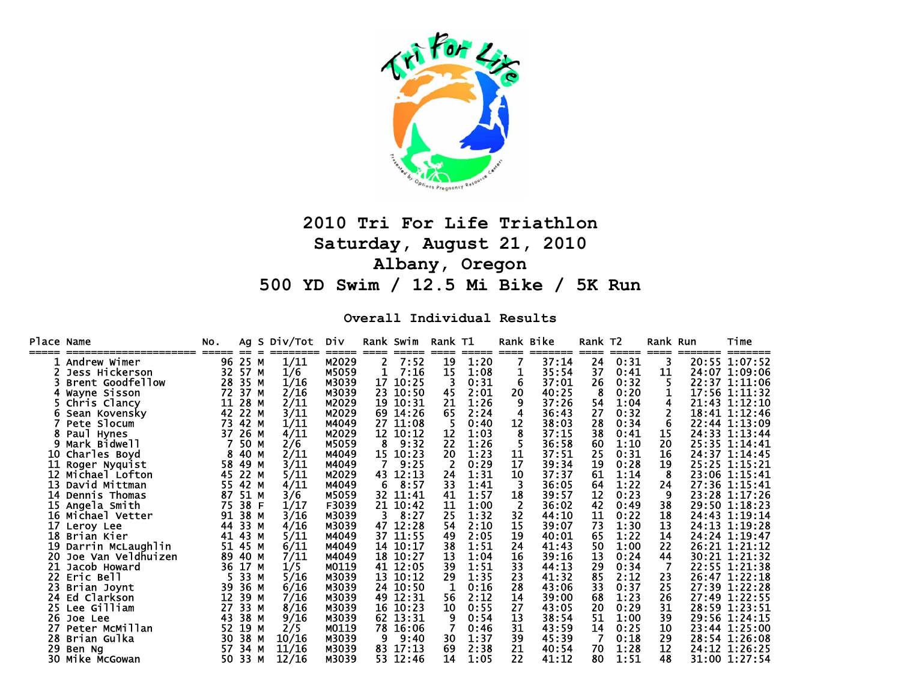

# **2010 Tri For Life Triathlon Saturday, August 21, 2010 Albany, Oregon 500 YD Swim / 12.5 Mi Bike / 5K Run**

**Overall Individual Results** 

| Place Name |                    | No. |              | Ag S Div/Tot<br>======== | Div   |     | Rank Swim     | Rank T1      |               |      | Rank Bike        | Rank T2 |               | Rank Run  | Time          |
|------------|--------------------|-----|--------------|--------------------------|-------|-----|---------------|--------------|---------------|------|------------------|---------|---------------|-----------|---------------|
|            | Andrew Wimer       | 96  | $==$<br>25 M | 1/11                     | M2029 | 2   | =====<br>7:52 | $====$<br>19 | =====<br>1:20 | ==== | =======<br>37:14 | 24      | =====<br>0:31 | ====<br>3 | 20:55 1:07:52 |
|            | Jess Hickerson     | 32  | 57 M         | 1/6                      | M5059 |     | 7:16          | 15           | 1:08          | 1    | 35:54            | 37      | 0:41          | 11        | 24:07 1:09:06 |
|            | Brent Goodfellow   | 28  | 35 M         | 1/16                     | M3039 | 17  | 10:25         |              | 0:31          | 6    | 37:01            | 26      | 0:32          |           | 22:37 1:11:06 |
|            | Wayne Sisson       | 72  | 37 M         | 2/16                     | M3039 | 23  | 10:50         | 45           | 2:01          | 20   | 40:25            | 8       | 0:20          |           | 17:56 1:11:32 |
|            | Chris Clancy       | 11  | 28 M         | 2/11                     | M2029 | 19  | 10:31         | 21           | 1:26          | 9    | 37:26            | 54      | 1:04          | 4         | 21:43 1:12:10 |
|            | Sean Kovensky      | 42  | 22 M         | 3/11                     | M2029 | 69. | 14:26         | 65           | 2:24          |      | 36:43            | 27      | 0:32          |           | 18:41 1:12:46 |
|            | Pete Slocum        | 73  | 42 M         | 1/11                     | M4049 | 27  | 11:08         | 5            | 0:40          | 12   | 38:03            | 28      | 0:34          | 6         | 22:44 1:13:09 |
|            | Paul Hynes         | 37  | 26 M         | 4/11                     | M2029 | 12  | 10:12         | 12           | 1:03          | 8    | 37:15            | 38      | 0:41          | 15        | 24:33 1:13:44 |
|            | Mark Bidwell       |     | 50 M         | 2/6                      | M5059 | 8   | 9:32          | 22           | 1:26          |      | 36:58            | 60      | 1:10          | 20        | 25:35 1:14:41 |
| 10         | Charles Boyd       |     | 40           | 2/11<br>M                | M4049 | 15  | 10:23         | 20           | 1:23          | 11   | 37:51            | 25      | 0:31          | 16        | 24:37 1:14:45 |
| 11         | Roger Nyquist      | 58  | 49           | 3/11<br>M                | M4049 |     | 9:25          | 2            | 0:29          | 17   | 39:34            | 19      | 0:28          | 19        | 25:25 1:15:21 |
| 12         | Michael Lofton     | 45  | 22 M         | 5/11                     | M2029 | 43. | 12:13         | 24           | 1:31          | 10   | 37:37            | 61      | 1:14          | 8         | 23:06 1:15:41 |
| 13         | David Mittman      | 55  | 42 M         | 4/11                     | M4049 | 6   | 8:57          | 33           | 1:41          | 3    | 36:05            | 64      | 1:22          | 24        | 27:36 1:15:41 |
| 14         | Dennis Thomas      | 87  | 51           | м<br>3/6                 | M5059 | 32. | 11:41         | 41           | 1:57          | 18   | 39:57            | 12      | 0:23          | 9         | 23:28 1:17:26 |
| 15         | Angela Smith       | 75  | 38           | 1/17<br>F                | F3039 | 21  | 10:42         | 11           | 1:00          |      | 36:02            | 42      | 0:49          | 38        | 29:50 1:18:23 |
|            | 16 Michael Vetter  | 91  | 38 M         | 3/16                     | M3039 | 3.  | 8:27          | 25           | 1:32          | 32   | 44:10            | 11      | 0:22          | 18        | 24:43 1:19:14 |
| 17         | Leroy Lee          | 44  | 33           | 4/16<br>м                | M3039 | 47  | 12:28         | 54           | 2:10          | 15   | 39:07            | 73      | 1:30          | 13        | 24:13 1:19:28 |
| 18         | Brian Kier         | 41  | 43 M         | 5/11                     | M4049 | 37  | 11:55         | 49           | 2:05          | 19   | 40:01            | 65      | 1:22          | 14        | 24:24 1:19:47 |
| 19         | Darrin McLaughlin  | 51  | 45 M         | 6/11                     | M4049 | 14  | 10:17         | 38           | 1:51          | 24   | 41:43            | 50      | 1:00          | 22        | 26:21 1:21:12 |
| 20         | Joe Van Veldhuizen | 89  | 40 M         | 7/11                     | M4049 | 18  | 10:27         | 13           | 1:04          | 16   | 39:16            | 13      | 0:24          | 44        | 30:21 1:21:32 |
| 21         | Jacob Howard       | 36  | 17 M         | 1/5                      | M0119 | 41  | 12:05         | 39           | 1:51          | 33   | 44:13            | 29      | 0:34          | 7         | 22:55 1:21:38 |
| 22.        | Eric Bell          |     | 33           | 5/16<br>М                | M3039 |     | 13 10:12      | 29           | 1:35          | 23   | 41:32            | 85      | 2:12          | 23        | 26:47 1:22:18 |
| 23         | Brian Joynt        | 39  | 36 M         | 6/16                     | M3039 | 24  | 10:50         | 1            | 0:16          | 28   | 43:06            | 33      | 0:37          | 25        | 27:39 1:22:28 |
| 24         | Ed Clarkson        | 12  | 39 M         | 7/16                     | M3039 |     | 49 12:31      | 56           | 2:12          | 14   | 39:00            | 68      | 1:23          | 26        | 27:49 1:22:55 |
| 25.        | Lee Gilliam        | 27  | 33           | 8/16<br>М                | M3039 |     | 16 10:23      | 10           | 0:55          | 27   | 43:05            | 20      | 0:29          | 31        | 28:59 1:23:51 |
| 26         | Joe Lee            | 43  | 38           | 9/16<br>м                | M3039 | 62  | 13:31         | 9            | 0:54          | 13   | 38:54            | 51      | 1:00          | 39        | 29:56 1:24:15 |
| 27         | Peter McMillan     | 52  | 19           | 2/5<br>м                 | M0119 | 78  | 16:06         |              | 0:46          | 31   | 43:59            | 14      | 0:25          | 10        | 23:44 1:25:00 |
| 28         | Brian Gulka        | 30  | 38           | 10/16<br>M               | M3039 | 9   | 9:40          | 30           | 1:37          | 39   | 45:39            |         | 0:18          | 29        | 28:54 1:26:08 |
| 29         | Ben Ng             | 57  | 34           | 11/16<br>м               | M3039 | 83  | 17:13         | 69           | 2:38          | 21   | 40:54            | 70      | 1:28          | 12        | 24:12 1:26:25 |
|            | 30 Mike McGowan    | 50  | 33 M         | 12/16                    | M3039 |     | 53 12:46      | 14           | 1:05          | 22   | 41:12            | 80      | 1:51          | 48        | 31:00 1:27:54 |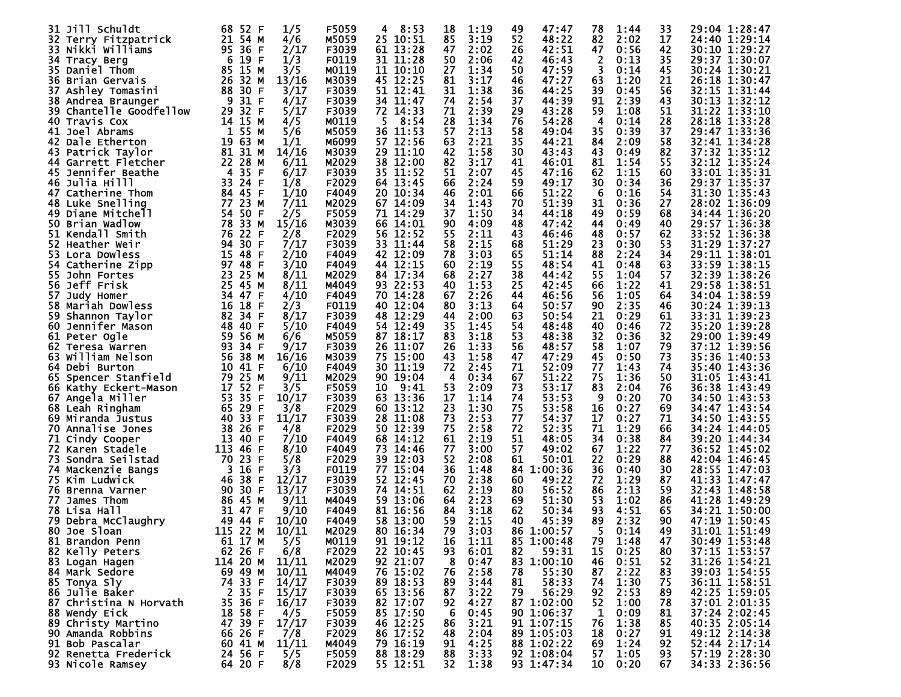| 31 Jill Schuldt             | 68<br>52 F                         | 1/5   | F5059 | 8:53<br>4    | 18 | 1:19 | 47:47<br>49 | 78 | 1:44 | 33 | 29:04 1:28:47 |
|-----------------------------|------------------------------------|-------|-------|--------------|----|------|-------------|----|------|----|---------------|
| 32 Terry Fitzpatrick        | 21 54 M                            | 4/6   | M5059 | 25 10:51     | 85 | 3:19 | 52<br>48:22 | 82 | 2:02 | 17 | 24:40 1:29:14 |
| Nikki Williams<br>33.       | 95<br>36 F                         | 2/17  | F3039 | 61 13:28     | 47 | 2:02 | 26<br>42:51 | 47 | 0:56 | 42 | 30:10 1:29:27 |
| 34 Tracy Berg               | - 6<br>19 F                        | 1/3   | F0119 | 31 11:28     | 50 | 2:06 | 42<br>46:43 |    | 0:13 | 35 | 29:37 1:30:07 |
|                             |                                    |       |       |              |    |      |             | 2  |      |    |               |
| 35 Daniel Thom              | 85<br>15 M                         | 3/5   | M0119 | 11 10:10     | 27 | 1:34 | 50<br>47:59 | 3  | 0:14 | 45 | 30:24 1:30:21 |
| 36 Brian Gervais            | 26<br>32 M                         | 13/16 | M3039 | 45 12:25     | 81 | 3:17 | 47:27<br>46 | 63 | 1:20 | 21 | 26:18 1:30:47 |
| 37<br>Ashley Tomasini       | 88 30<br>F                         | 3/17  | F3039 | 51 12:41     | 31 | 1:38 | 36<br>44:25 | 39 | 0:45 | 56 | 32:15 1:31:44 |
| 38 Andrea Braunger          | -9<br>31 F                         | 4/17  | F3039 | 34 11:47     | 74 | 2:54 | 44:39<br>37 | 91 | 2:39 | 43 | 30:13 1:32:12 |
| Chantelle Goodfellow<br>39. | 29<br>32 F                         | 5/17  | F3039 | 72 14:33     | 71 | 2:39 | 29<br>43:28 | 59 | 1:08 | 51 | 31:22 1:33:10 |
| 40<br>Travis Cox            | 14 15 M                            | 4/5   | M0119 | 8:54<br>5    | 28 | 1:34 | 76<br>54:28 | 4  | 0:14 | 28 | 28:18 1:33:28 |
| 41<br>Joel Abrams           | 1<br>55 M                          | 5/6   | M5059 | 36 11:53     | 57 | 2:13 | 58<br>49:04 | 35 | 0:39 | 37 | 29:47 1:33:36 |
| 42<br>Dale Etherton         | 19<br>63 M                         | 1/1   | M6099 | 57 12:56     | 63 | 2:21 | 35<br>44:21 | 84 | 2:09 | 58 | 32:41 1:34:28 |
| 43<br>Patrick Tavlor        | 81 31 M                            | 14/16 | M3039 | 29<br>11:10  | 42 | 1:58 | 30<br>43:43 | 43 | 0:49 | 82 | 37:32 1:35:12 |
| 44 Garrett Fletcher         | 22 28 M                            | 6/11  | M2029 | 12:00<br>38. | 82 | 3:17 | 46:01<br>41 | 81 | 1:54 | 55 | 32:12 1:35:24 |
| 45 Jennifer Beathe          | -4<br>35 F                         | 6/17  | F3039 | 11:52<br>35. | 51 | 2:07 | 45<br>47:16 | 62 | 1:15 | 60 | 33:01 1:35:31 |
|                             |                                    |       |       |              |    |      |             |    |      |    |               |
| Julia Hilll<br>46           | 24 F<br>33                         | 1/8   | F2029 | 64 13:45     | 66 | 2:24 | 59<br>49:17 | 30 | 0:34 | 36 | 29:37 1:35:37 |
| 47<br>Catherine Thom        | 84 45 F                            | 1/10  | F4049 | 20 10:34     | 46 | 2:01 | 66<br>51:22 | 6  | 0:16 | 54 | 31:30 1:35:43 |
| Luke Snelling<br>48         | 77 23 M                            | 7/11  | M2029 | 67 14:09     | 34 | 1:43 | 51:39<br>70 | 31 | 0:36 | 27 | 28:02 1:36:09 |
| 49<br>Diane Mitchell        | 54<br>50 F                         | 2/5   | F5059 | 71 14:29     | 37 | 1:50 | 34<br>44:18 | 49 | 0:59 | 68 | 34:44 1:36:20 |
| 50 Brian Wadlow             | 78 33 M                            | 15/16 | M3039 | 66 14:01     | 90 | 4:09 | 48<br>47:42 | 44 | 0:49 | 40 | 29:57 1:36:38 |
| 51<br>Kendall Smith         | 76<br>22<br>F                      | 2/8   | F2029 | 56 12:52     | 55 | 2:11 | 43<br>46:46 | 48 | 0:57 | 62 | 33:52 1:36:38 |
| 52.<br>Heather Weir         | 30<br>94<br>F                      | 7/17  | F3039 | 33<br>11:44  | 58 | 2:15 | 68<br>51:29 | 23 | 0:30 | 53 | 31:29 1:37:27 |
| 53.<br>Lora Dowless         | 15<br>-48<br>F                     | 2/10  | F4049 | 42 12:09     | 78 | 3:03 | 65<br>51:14 | 88 | 2:24 | 34 | 29:11 1:38:01 |
| 54 Catherine Zipp           | 97 48 F                            | 3/10  | F4049 | 44 12:15     | 60 | 2:19 | 55<br>48:54 | 41 | 0:48 | 63 | 33:59 1:38:15 |
| 55.<br>John Fortes          | 23<br>25 M                         | 8/11  | M2029 | 84 17:34     | 68 | 2:27 | 38<br>44:42 | 55 | 1:04 | 57 | 32:39 1:38:26 |
| Jeff Frisk<br>56.           | 25 45 M                            | 8/11  | M4049 | 93 22:53     | 40 | 1:53 | 25<br>42:45 | 66 | 1:22 | 41 | 29:58 1:38:51 |
| 57<br>Judy Homer            | 34 47 F                            | 4/10  | F4049 | 14:28<br>70  | 67 | 2:26 | 44<br>46:56 | 56 | 1:05 | 64 | 34:04 1:38:59 |
| 58 Mariah Dowless           | 16<br>18<br>F                      | 2/3   | F0119 | 12:04<br>40  | 80 | 3:13 | 50:57       | 90 | 2:35 | 46 | 30:24 1:39:13 |
|                             | 82 34                              | 8/17  |       | 12:29        | 44 | 2:00 | 64<br>63    | 21 |      |    |               |
| 59.<br>Shannon Taylor       | F                                  |       | F3039 | 48           |    |      | 50:54       |    | 0:29 | 61 | 33:31 1:39:23 |
| Jennifer Mason<br>60.       | 48<br>40 F                         | 5/10  | F4049 | 54 12:49     | 35 | 1:45 | 54<br>48:48 | 40 | 0:46 | 72 | 35:20 1:39:28 |
| 61<br>Peter Ogle            | 59<br>56 M                         | 6/6   | M5059 | 87 18:17     | 83 | 3:18 | 53<br>48:38 | 32 | 0:36 | 32 | 29:00 1:39:49 |
| 62.<br>Teresa Warren        | 93<br>34 F                         | 9/17  | F3039 | 26 11:07     | 26 | 1:33 | 48:57<br>56 | 58 | 1:07 | 79 | 37:12 1:39:56 |
| 63<br>William Nelson        | 56<br>38 M                         | 16/16 | M3039 | 75 15:00     | 43 | 1:58 | 47<br>47:29 | 45 | 0:50 | 73 | 35:36 1:40:53 |
| 64 Debi Burton              | 10 41 F                            | 6/10  | F4049 | 11:19<br>30. | 72 | 2:45 | 71<br>52:09 | 77 | 1:43 | 74 | 35:40 1:43:36 |
| 65 Spencer Stanfield        | 79<br>25 M                         | 9/11  | M2029 | 90 19:04     | 4  | 0:34 | 67<br>51:22 | 75 | 1:36 | 50 | 31:05 1:43:41 |
| 66 Kathy Eckert-Mason       | 17 52<br>F                         | 3/5   | F5059 | 9:41<br>10   | 53 | 2:09 | 53:17<br>73 | 83 | 2:04 | 76 | 36:38 1:43:49 |
| 67<br>Angela Miller         | 53<br>35<br>F                      | 10/17 | F3039 | 63 13:36     | 17 | 1:14 | 74<br>53:53 | 9  | 0:20 | 70 | 34:50 1:43:53 |
| 68 Leah Ringham             | 65 29<br>F                         | 3/8   | F2029 | 60 13:12     | 23 | 1:30 | 53:58<br>75 | 16 | 0:27 | 69 | 34:47 1:43:54 |
| 69<br>Miranda Justus        | 40<br>33<br>F                      | 11/17 | F3039 | 28<br>11:08  | 73 | 2:53 | 77<br>54:37 | 17 | 0:27 | 71 | 34:50 1:43:55 |
| Annalise Jones<br>70.       | 38 26 F                            | 4/8   | F2029 | 50 12:39     | 75 | 2:58 | 72<br>52:35 | 71 | 1:29 | 66 | 34:24 1:44:05 |
| 71<br>Cindy Cooper          | 13<br>-40<br>F                     | 7/10  | F4049 | 68 14:12     | 61 | 2:19 | 51<br>48:05 | 34 | 0:38 | 84 | 39:20 1:44:34 |
| 72 Karen Stadele            | 113<br>F<br>-46                    | 8/10  | F4049 | 73.<br>14:46 | 77 | 3:00 | 57<br>49:02 | 67 | 1:22 | 77 | 36:52 1:45:02 |
| 73<br>Sondra Seilstad       | 70<br>23<br>F                      | 5/8   | F2029 | 39<br>12:03  | 52 | 2:08 | 61<br>50:01 | 22 | 0:29 | 88 | 42:04 1:46:45 |
| 74 Mackenzie Bangs          | $\overline{\mathbf{3}}$<br>16<br>F | 3/3   | F0119 | 77 15:04     | 36 | 1:48 | 84 1:00:36  | 36 | 0:40 | 30 | 28:55 1:47:03 |
| 75 Kim Ludwick              | 46<br>38<br>F                      | 12/17 | F3039 | 52 12:45     | 70 | 2:38 | 60<br>49:22 | 72 | 1:29 | 87 | 41:33 1:47:47 |
| 76.<br>Brenna Varner        | 90<br>30<br>F                      | 13/17 | F3039 | 74 14:51     | 62 | 2:19 | 56:52<br>80 | 86 | 2:13 | 59 | 32:43 1:48:58 |
| 77<br>James Thom            | 86 45 M                            | 9/11  | M4049 | 13:06<br>59. | 64 | 2:23 | 69<br>51:30 | 53 | 1:02 | 86 | 41:28 1:49:29 |
| 78 Lisa Hall                | 31 47 F                            | 9/10  | F4049 | 81 16:56     | 84 | 3:18 | 62<br>50:34 | 93 | 4:51 | 65 | 34:21 1:50:00 |
|                             | 49 44<br>F                         |       | F4049 |              | 59 | 2:15 | 40<br>45:39 | 89 | 2:32 | 90 | 47:19 1:50:45 |
| 79 Debra McClaughry         |                                    | 10/10 |       | 58 13:00     |    |      |             |    |      | 49 |               |
| 80 Joe Sloan                | 115 22 M                           | 10/11 | M2029 | 80 16:34     | 79 | 3:03 | 86 1:00:57  | 5  | 0:14 |    | 31:01 1:51:49 |
| 81 Brandon Penn             | 61 17 M                            | 5/5   | M0119 | 91 19:12     | 16 | 1:11 | 85 1:00:48  | 79 | 1:48 | 47 | 30:49 1:53:48 |
| 82 Kelly Peters             | 62 26 F                            | 6/8   | F2029 | 22 10:45     | 93 | 6:01 | 59:31<br>82 | 15 | 0:25 | 80 | 37:15 1:53:57 |
| 83 Logan Hagen              | 114 20 M                           | 11/11 | M2029 | 92 21:07     | 8  | 0:47 | 83 1:00:10  | 46 | 0:51 | 52 | 31:26 1:54:21 |
| 84 Mark Sedore              | 69 49 M                            | 10/11 | M4049 | 76 15:02     | 76 | 2:58 | 55:30<br>78 | 87 | 2:22 | 83 | 39:03 1:54:55 |
| 85 Tonya Sly                | 74 33 F                            | 14/17 | F3039 | 89 18:53     | 89 | 3:44 | 81<br>58:33 | 74 | 1:30 | 75 | 36:11 1:58:51 |
| 86 Julie Baker              | 2<br>35 F                          | 15/17 | F3039 | 65 13:56     | 87 | 3:22 | 79<br>56:29 | 92 | 2:53 | 89 | 42:25 1:59:05 |
| 87 Christina N Horvath      | 35<br>36 F                         | 16/17 | F3039 | 82 17:07     | 92 | 4:27 | 87 1:02:00  | 52 | 1:00 | 78 | 37:01 2:01:35 |
| 88 Wendy Eick               | 18 58 F                            | 4/5   | F5059 | 85 17:50     | 6  | 0:45 | 90 1:06:37  | 1  | 0:09 | 81 | 37:24 2:02:45 |
| 89 Christy Martino          | 47<br>39 F                         | 17/17 | F3039 | 46 12:25     | 86 | 3:21 | 91 1:07:15  | 76 | 1:38 | 85 | 40:35 2:05:14 |
| 90 Amanda Robbins           | 66 26 F                            | 7/8   | F2029 | 86 17:52     | 48 | 2:04 | 89 1:05:03  | 18 | 0:27 | 91 | 49:12 2:14:38 |
| 91 Bob Pascalar             | 60 41 M                            | 11/11 | M4049 | 79 16:19     | 91 | 4:25 | 88 1:02:22  | 69 | 1:24 | 92 | 52:44 2:17:14 |
| 92 Renetta Frederick        | 24 56 F                            | 5/5   | F5059 | 88 18:29     | 88 | 3:33 | 92 1:08:04  | 57 | 1:05 | 93 | 57:19 2:28:30 |
| 93 Nicole Ramsey            | 64 20 F                            | 8/8   | F2029 | 55 12:51     | 32 | 1:38 | 93 1:47:34  | 10 | 0:20 | 67 | 34:33 2:36:56 |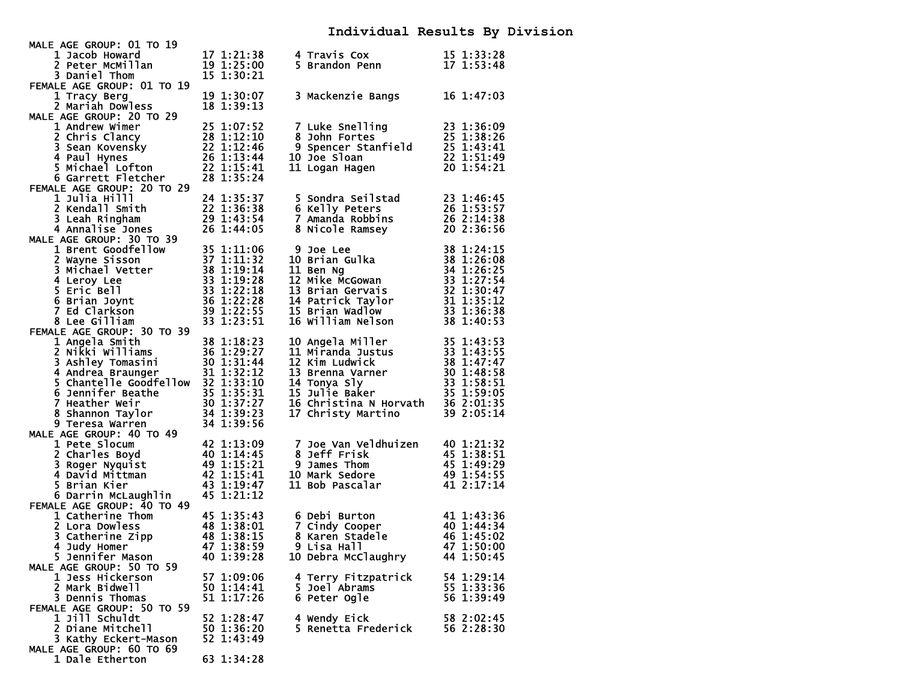### **Individual Results By Division**

| MALE AGE GROUP: 01 TO 19                                                                                                                                                                                                                                      |                                                                                                                        |                                                                                                                                                            |            |
|---------------------------------------------------------------------------------------------------------------------------------------------------------------------------------------------------------------------------------------------------------------|------------------------------------------------------------------------------------------------------------------------|------------------------------------------------------------------------------------------------------------------------------------------------------------|------------|
| 1 Jacob Howard                                                                                                                                                                                                                                                | 17 1:21:38                                                                                                             | 4 Travis Cox                                                                                                                                               | 15 1:33:28 |
| 2 Peter McMillan                                                                                                                                                                                                                                              | 19 1:25:00                                                                                                             | 5 Brandon Penn                                                                                                                                             | 17 1:53:48 |
| 3 Daniel Thom                                                                                                                                                                                                                                                 | 15 1:30:21                                                                                                             |                                                                                                                                                            |            |
| FEMALE AGE GROUP: 01 TO 19                                                                                                                                                                                                                                    |                                                                                                                        |                                                                                                                                                            |            |
| 1 Tracy Berg                                                                                                                                                                                                                                                  | 19 1:30:07                                                                                                             | 3 Mackenzie Bangs                                                                                                                                          | 16 1:47:03 |
| 2 Mariah Dowless                                                                                                                                                                                                                                              | 18 1:39:13                                                                                                             |                                                                                                                                                            |            |
| MALE AGE GROUP: 20 TO 29                                                                                                                                                                                                                                      |                                                                                                                        |                                                                                                                                                            |            |
| 1 Andrew Wimer<br>1 Andrew Wimer<br>2 Chris Clancy<br>3 Sean Kovensky<br>4 Paul Hynes<br>5 Michael Lofton<br>22 1:13:44<br>5 Michael Lofton<br>22 1:15:41                                                                                                     | 25 1:07:52                                                                                                             | 9 1:36:09<br>8 John Fortes<br>9 Spencer Stanfield<br>25 1:38:26<br>9 Spencer Stanfield<br>25 1:43:41<br>22 1:51:49<br>20 1:54:21                           |            |
|                                                                                                                                                                                                                                                               |                                                                                                                        |                                                                                                                                                            |            |
|                                                                                                                                                                                                                                                               |                                                                                                                        |                                                                                                                                                            |            |
|                                                                                                                                                                                                                                                               |                                                                                                                        | 10 Joe Sloan                                                                                                                                               |            |
|                                                                                                                                                                                                                                                               |                                                                                                                        | 11 Logan Hagen                                                                                                                                             |            |
| 6 Garrett Fletcher                                                                                                                                                                                                                                            | 28 1:35:24                                                                                                             |                                                                                                                                                            |            |
| FEMALE AGE GROUP: 20 TO 29                                                                                                                                                                                                                                    |                                                                                                                        | 5 Sondra Seilstad<br>Dotars                                                                                                                                |            |
| 1 Julia Hilll                                                                                                                                                                                                                                                 | 24 1:35:37                                                                                                             |                                                                                                                                                            | 23 1:46:45 |
| 2 Kendall Smith                                                                                                                                                                                                                                               |                                                                                                                        |                                                                                                                                                            | 26 1:53:57 |
| 3 Leah Ringham                                                                                                                                                                                                                                                | $\begin{array}{r} 22 \overline{)} 1:36:38 \\ 29 \overline{)} 1:43:54 \\ 26 \overline{)} 1:44:05 \end{array}$           | 7 Amanda Robbins<br>8 Nicole Ramsey                                                                                                                        | 26 2:14:38 |
| 4 Annalise Jones                                                                                                                                                                                                                                              |                                                                                                                        |                                                                                                                                                            | 20 2:36:56 |
| MALE AGE GROUP: 30 TO 39                                                                                                                                                                                                                                      |                                                                                                                        |                                                                                                                                                            |            |
| E AGE GROUP: 30 TO 39<br>1 Brent Goodfellow<br>2 Wayne Sisson<br>37 1:11:32<br>3 Michael Vetter<br>38 1:19:14<br>4 Leroy Lee<br>5 Eric Bell<br>6 Brian Joynt<br>7 Ed Clarkson<br>7 Ed Clarkson<br>89 1:22:28<br>7 Ed Clarkson<br>89 1:22:55<br>81 1:22:55<br> |                                                                                                                        | <b>9 Joe Lee<br/>10 Brian Gulka<br/>11 Ben Ng<br/>12 Mike McGowan<br/>13 Brian Gervais<br/>14 Patrick Taylor<br/>15 Brian Wadlow<br/>16 William Nelson</b> | 38 1:24:15 |
|                                                                                                                                                                                                                                                               |                                                                                                                        |                                                                                                                                                            | 38 1:26:08 |
|                                                                                                                                                                                                                                                               |                                                                                                                        |                                                                                                                                                            | 34 1:26:25 |
|                                                                                                                                                                                                                                                               |                                                                                                                        |                                                                                                                                                            | 33 1:27:54 |
|                                                                                                                                                                                                                                                               |                                                                                                                        |                                                                                                                                                            | 32 1:30:47 |
|                                                                                                                                                                                                                                                               |                                                                                                                        |                                                                                                                                                            | 31 1:35:12 |
|                                                                                                                                                                                                                                                               |                                                                                                                        |                                                                                                                                                            | 33 1:36:38 |
|                                                                                                                                                                                                                                                               |                                                                                                                        |                                                                                                                                                            | 38 1:40:53 |
| FEMALE AGE GROUP: 30 TO 39                                                                                                                                                                                                                                    |                                                                                                                        |                                                                                                                                                            |            |
| 1 Angela Smith 30 10 39<br>1 Angela Smith 38 1:18:23<br>2 Nikki Williams 36 1:29:27<br>3 Ashley Tomasini 30 1:31:44<br>4 Andrea Braunger 31 1:32:12<br>5 Chantelle Goodfellow 32 1:33:10<br>6 Jennifer Beathe 35 1:35:31<br>7 Heather weir 3                  |                                                                                                                        | 10 Angela Miller<br>11 Miranda Justus<br>12 Kim Ludwick<br>13 Brenna Varner<br>14 Tonya Sly<br>15 Julie Baker                                              | 35 1:43:53 |
|                                                                                                                                                                                                                                                               |                                                                                                                        |                                                                                                                                                            | 33 1:43:55 |
|                                                                                                                                                                                                                                                               |                                                                                                                        |                                                                                                                                                            | 38 1:47:47 |
|                                                                                                                                                                                                                                                               |                                                                                                                        |                                                                                                                                                            | 30 1:48:58 |
|                                                                                                                                                                                                                                                               |                                                                                                                        |                                                                                                                                                            | 33 1:58:51 |
|                                                                                                                                                                                                                                                               |                                                                                                                        |                                                                                                                                                            | 35 1:59:05 |
|                                                                                                                                                                                                                                                               |                                                                                                                        | 16 Christina N Horvath                                                                                                                                     | 36 2:01:35 |
|                                                                                                                                                                                                                                                               |                                                                                                                        | 17 Christy Martino                                                                                                                                         | 39 2:05:14 |
| 9 Teresa Warren                                                                                                                                                                                                                                               | 34 1:39:56                                                                                                             |                                                                                                                                                            |            |
| MALE AGE GROUP: 40 TO 49                                                                                                                                                                                                                                      |                                                                                                                        |                                                                                                                                                            |            |
| 1 Pete Slocum                                                                                                                                                                                                                                                 | $\begin{array}{c} \hline \text{42 1:13:09} \\ \text{40 1:14:45} \\ \text{49 1:15:21} \\ \text{42 1:15:41} \end{array}$ | 7 Joe Van Veldhuizen<br>8 Jeff Frisk<br>9 James Thom<br>10 Mark Sedore                                                                                     | 40 1:21:32 |
| 2 Charles Boyd                                                                                                                                                                                                                                                |                                                                                                                        |                                                                                                                                                            | 45 1:38:51 |
| 3 Roger Nyquist                                                                                                                                                                                                                                               |                                                                                                                        |                                                                                                                                                            | 45 1:49:29 |
| 4 David Mittman                                                                                                                                                                                                                                               |                                                                                                                        |                                                                                                                                                            | 49 1:54:55 |
| 5 Brian Kier                                                                                                                                                                                                                                                  | 43 1:19:47                                                                                                             | 11 Bob Pascalar                                                                                                                                            | 41 2:17:14 |
| 6 Darrin McLaughlin                                                                                                                                                                                                                                           | 45 1:21:12                                                                                                             |                                                                                                                                                            |            |
| FEMALE AGE GROUP: 40 TO 49                                                                                                                                                                                                                                    |                                                                                                                        |                                                                                                                                                            |            |
| 10m<br>8<br>8<br>9 1.38:01<br>9 1.38:15<br>9 1.38:15<br>9 1.38:15<br>1 Catherine Thom                                                                                                                                                                         |                                                                                                                        | 6 Debi Burton                                                                                                                                              | 41 1:43:36 |
| 2 Lora Dowless                                                                                                                                                                                                                                                |                                                                                                                        | 7 Cindy Cooper                                                                                                                                             | 40 1:44:34 |
| 3 Catherine Zipp                                                                                                                                                                                                                                              |                                                                                                                        |                                                                                                                                                            | 46 1:45:02 |
| 4 Judy Homer                                                                                                                                                                                                                                                  |                                                                                                                        | 8 Karen Stadele<br>9 Lisa Hall<br>9 Lisa Hall                                                                                                              | 47 1:50:00 |
| 5 Jennifer Mason                                                                                                                                                                                                                                              | 40 1:39:28                                                                                                             | 10 Debra McClaughry                                                                                                                                        | 44 1:50:45 |
| MALE AGE GROUP: 50 TO 59                                                                                                                                                                                                                                      |                                                                                                                        |                                                                                                                                                            |            |
| 1 Jess Hickerson                                                                                                                                                                                                                                              | 57 1:09:06                                                                                                             | 4 Terry Fitzpatrick                                                                                                                                        | 54 1:29:14 |
| 2 Mark Bidwell                                                                                                                                                                                                                                                | 50 1:14:41                                                                                                             | 5 Joel Abrams                                                                                                                                              | 55 1:33:36 |
| 3 Dennis Thomas                                                                                                                                                                                                                                               | 51 1:17:26                                                                                                             | 6 Peter Ogle                                                                                                                                               | 56 1:39:49 |
| FEMALE AGE GROUP: 50 TO 59                                                                                                                                                                                                                                    |                                                                                                                        |                                                                                                                                                            |            |
| 1 Jill Schuldt                                                                                                                                                                                                                                                | 52 1:28:47                                                                                                             | 4 Wendy Eick                                                                                                                                               | 58 2:02:45 |
| 2 Diane Mitchell                                                                                                                                                                                                                                              | 50 1:36:20                                                                                                             | 5 Renetta Frederick                                                                                                                                        | 56 2:28:30 |
| 3 Kathy Eckert-Mason                                                                                                                                                                                                                                          | 52 1:43:49                                                                                                             |                                                                                                                                                            |            |
| MALE AGE GROUP: 60 TO 69                                                                                                                                                                                                                                      |                                                                                                                        |                                                                                                                                                            |            |
| 1 Dale Etherton                                                                                                                                                                                                                                               | 63 1:34:28                                                                                                             |                                                                                                                                                            |            |
|                                                                                                                                                                                                                                                               |                                                                                                                        |                                                                                                                                                            |            |